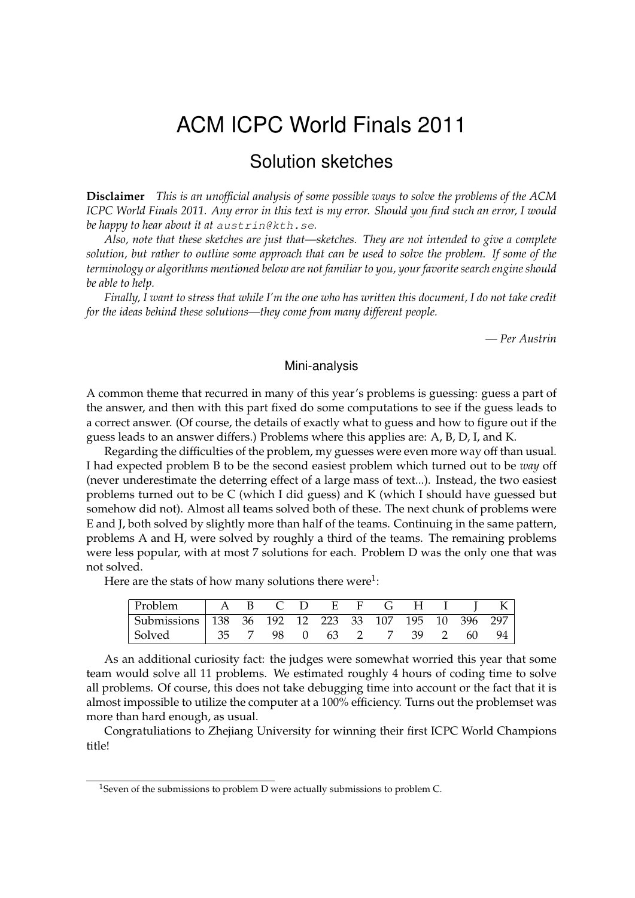# ACM ICPC World Finals 2011

# Solution sketches

**Disclaimer** *This is an unofficial analysis of some possible ways to solve the problems of the ACM ICPC World Finals 2011. Any error in this text is my error. Should you find such an error, I would be happy to hear about it at* austrin@kth.se*.*

*Also, note that these sketches are just that—sketches. They are not intended to give a complete solution, but rather to outline some approach that can be used to solve the problem. If some of the terminology or algorithms mentioned below are not familiar to you, your favorite search engine should be able to help.*

*Finally, I want to stress that while I'm the one who has written this document, I do not take credit for the ideas behind these solutions—they come from many different people.*

*— Per Austrin*

### Mini-analysis

A common theme that recurred in many of this year's problems is guessing: guess a part of the answer, and then with this part fixed do some computations to see if the guess leads to a correct answer. (Of course, the details of exactly what to guess and how to figure out if the guess leads to an answer differs.) Problems where this applies are: A, B, D, I, and K.

Regarding the difficulties of the problem, my guesses were even more way off than usual. I had expected problem B to be the second easiest problem which turned out to be *way* off (never underestimate the deterring effect of a large mass of text...). Instead, the two easiest problems turned out to be C (which I did guess) and K (which I should have guessed but somehow did not). Almost all teams solved both of these. The next chunk of problems were E and J, both solved by slightly more than half of the teams. Continuing in the same pattern, problems A and H, were solved by roughly a third of the teams. The remaining problems were less popular, with at most 7 solutions for each. Problem D was the only one that was not solved.

Here are the stats of how many solutions there were<sup>1</sup>:

| Problem                                             |  | ABCDEFGHIK |  |  |  |  |
|-----------------------------------------------------|--|------------|--|--|--|--|
| Submissions 138 36 192 12 223 33 107 195 10 396 297 |  |            |  |  |  |  |
| Solved   35 7 98 0 63 2 7 39 2 60 94                |  |            |  |  |  |  |

As an additional curiosity fact: the judges were somewhat worried this year that some team would solve all 11 problems. We estimated roughly 4 hours of coding time to solve all problems. Of course, this does not take debugging time into account or the fact that it is almost impossible to utilize the computer at a 100% efficiency. Turns out the problemset was more than hard enough, as usual.

Congratuliations to Zhejiang University for winning their first ICPC World Champions title!

<sup>&</sup>lt;sup>1</sup>Seven of the submissions to problem D were actually submissions to problem C.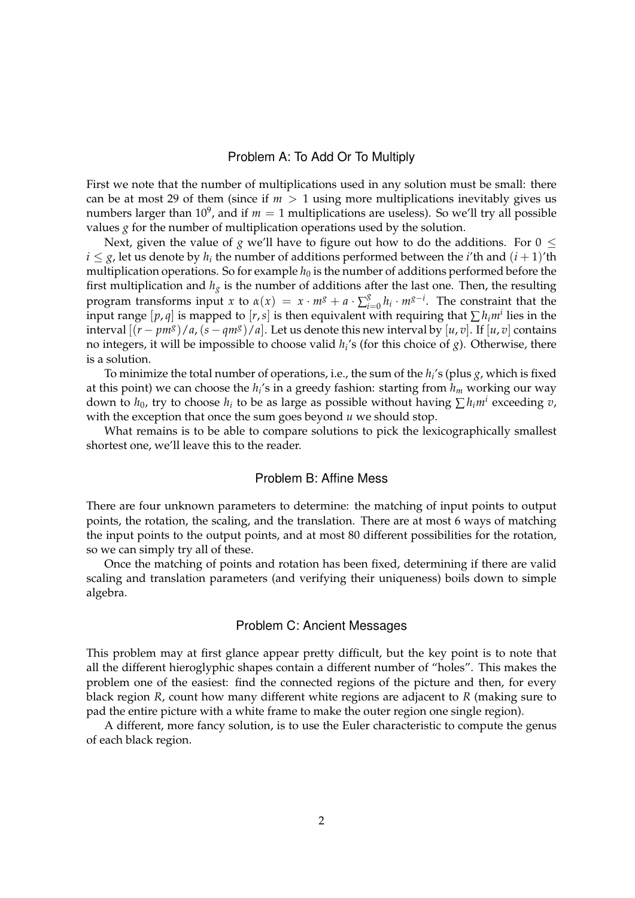### Problem A: To Add Or To Multiply

First we note that the number of multiplications used in any solution must be small: there can be at most 29 of them (since if  $m > 1$  using more multiplications inevitably gives us numbers larger than  $10^9$ , and if  $m=1$  multiplications are useless). So we'll try all possible values *g* for the number of multiplication operations used by the solution.

Next, given the value of *g* we'll have to figure out how to do the additions. For  $0 \le$  $i \leq g$ , let us denote by  $h_i$  the number of additions performed between the *i*'th and  $(i+1)$ 'th multiplication operations. So for example  $h_0$  is the number of additions performed before the first multiplication and  $h_g$  is the number of additions after the last one. Then, the resulting program transforms input *x* to  $\alpha(x) = x \cdot m^g + a \cdot \sum_{i=1}^g$  $\int_{i=0}^{g} h_i \cdot m^{g-i}$ . The constraint that the input range  $[p, q]$  is mapped to  $[r, s]$  is then equivalent with requiring that  $\sum h_i m^i$  lies in the interval  $[(r - pm<sup>g</sup>)/a$ ,  $(s - qm<sup>g</sup>)/a]$ . Let us denote this new interval by  $[u, v]$ . If  $[u, v]$  contains no integers, it will be impossible to choose valid *h<sup>i</sup>* 's (for this choice of *g*). Otherwise, there is a solution.

To minimize the total number of operations, i.e., the sum of the *h<sup>i</sup>* 's (plus *g*, which is fixed at this point) we can choose the *h<sup>i</sup>* 's in a greedy fashion: starting from *h<sup>m</sup>* working our way down to  $h_0$ , try to choose  $h_i$  to be as large as possible without having  $\sum h_i m^i$  exceeding  $v$ , with the exception that once the sum goes beyond *u* we should stop.

What remains is to be able to compare solutions to pick the lexicographically smallest shortest one, we'll leave this to the reader.

### Problem B: Affine Mess

There are four unknown parameters to determine: the matching of input points to output points, the rotation, the scaling, and the translation. There are at most 6 ways of matching the input points to the output points, and at most 80 different possibilities for the rotation, so we can simply try all of these.

Once the matching of points and rotation has been fixed, determining if there are valid scaling and translation parameters (and verifying their uniqueness) boils down to simple algebra.

#### Problem C: Ancient Messages

This problem may at first glance appear pretty difficult, but the key point is to note that all the different hieroglyphic shapes contain a different number of "holes". This makes the problem one of the easiest: find the connected regions of the picture and then, for every black region *R*, count how many different white regions are adjacent to *R* (making sure to pad the entire picture with a white frame to make the outer region one single region).

A different, more fancy solution, is to use the Euler characteristic to compute the genus of each black region.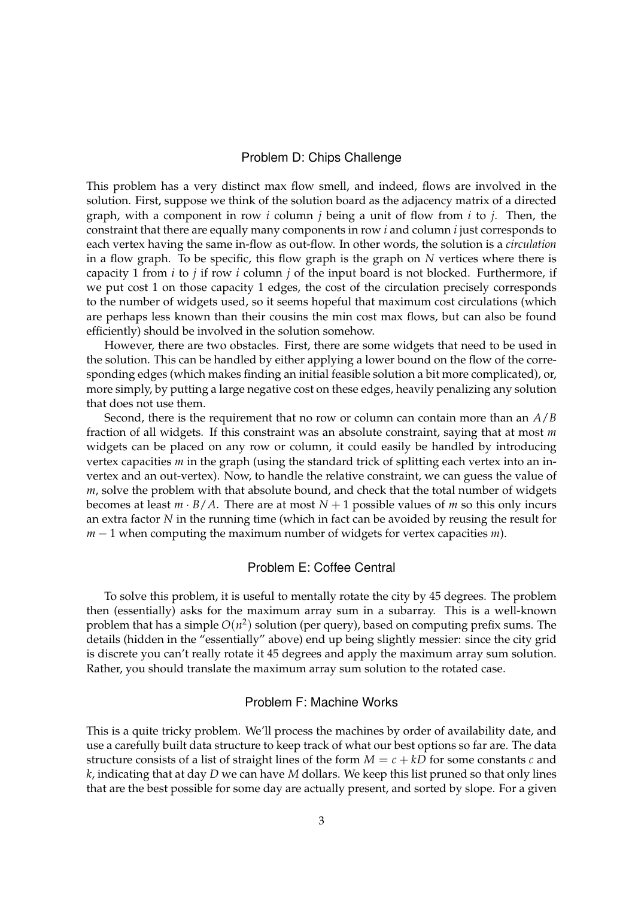## Problem D: Chips Challenge

This problem has a very distinct max flow smell, and indeed, flows are involved in the solution. First, suppose we think of the solution board as the adjacency matrix of a directed graph, with a component in row *i* column *j* being a unit of flow from *i* to *j*. Then, the constraint that there are equally many components in row *i* and column *i* just corresponds to each vertex having the same in-flow as out-flow. In other words, the solution is a *circulation* in a flow graph. To be specific, this flow graph is the graph on *N* vertices where there is capacity 1 from *i* to *j* if row *i* column *j* of the input board is not blocked. Furthermore, if we put cost 1 on those capacity 1 edges, the cost of the circulation precisely corresponds to the number of widgets used, so it seems hopeful that maximum cost circulations (which are perhaps less known than their cousins the min cost max flows, but can also be found efficiently) should be involved in the solution somehow.

However, there are two obstacles. First, there are some widgets that need to be used in the solution. This can be handled by either applying a lower bound on the flow of the corresponding edges (which makes finding an initial feasible solution a bit more complicated), or, more simply, by putting a large negative cost on these edges, heavily penalizing any solution that does not use them.

Second, there is the requirement that no row or column can contain more than an *A*/*B* fraction of all widgets. If this constraint was an absolute constraint, saying that at most *m* widgets can be placed on any row or column, it could easily be handled by introducing vertex capacities *m* in the graph (using the standard trick of splitting each vertex into an invertex and an out-vertex). Now, to handle the relative constraint, we can guess the value of *m*, solve the problem with that absolute bound, and check that the total number of widgets becomes at least  $m \cdot B/A$ . There are at most  $N+1$  possible values of *m* so this only incurs an extra factor *N* in the running time (which in fact can be avoided by reusing the result for *m* − 1 when computing the maximum number of widgets for vertex capacities *m*).

# Problem E: Coffee Central

To solve this problem, it is useful to mentally rotate the city by 45 degrees. The problem then (essentially) asks for the maximum array sum in a subarray. This is a well-known problem that has a simple  $O(n^2)$  solution (per query), based on computing prefix sums. The details (hidden in the "essentially" above) end up being slightly messier: since the city grid is discrete you can't really rotate it 45 degrees and apply the maximum array sum solution. Rather, you should translate the maximum array sum solution to the rotated case.

# Problem F: Machine Works

This is a quite tricky problem. We'll process the machines by order of availability date, and use a carefully built data structure to keep track of what our best options so far are. The data structure consists of a list of straight lines of the form  $M = c + kD$  for some constants *c* and *k*, indicating that at day *D* we can have *M* dollars. We keep this list pruned so that only lines that are the best possible for some day are actually present, and sorted by slope. For a given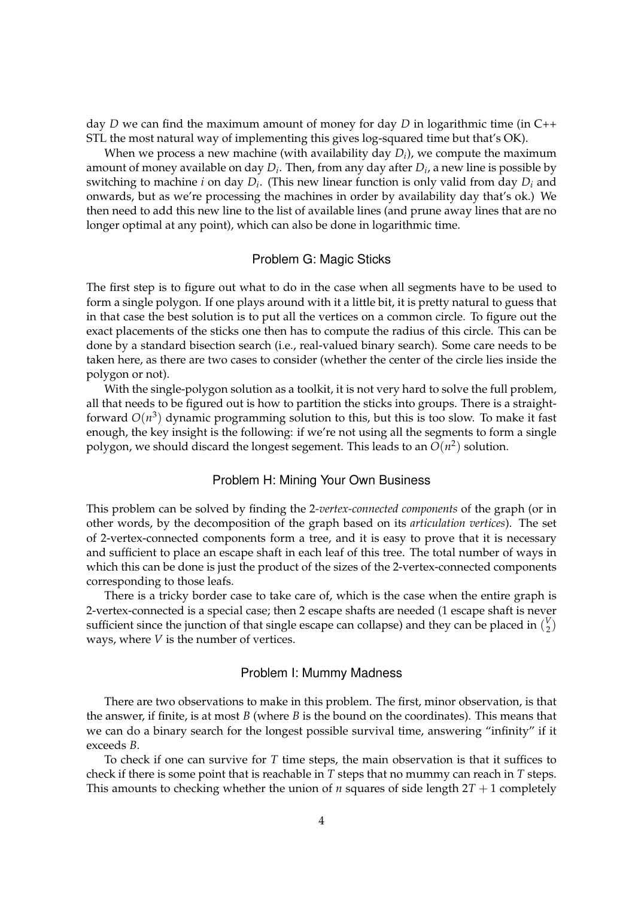day *D* we can find the maximum amount of money for day *D* in logarithmic time (in C++ STL the most natural way of implementing this gives log-squared time but that's OK).

When we process a new machine (with availability day *D<sup>i</sup>* ), we compute the maximum amount of money available on day *D<sup>i</sup>* . Then, from any day after *D<sup>i</sup>* , a new line is possible by switching to machine *i* on day *D<sup>i</sup>* . (This new linear function is only valid from day *D<sup>i</sup>* and onwards, but as we're processing the machines in order by availability day that's ok.) We then need to add this new line to the list of available lines (and prune away lines that are no longer optimal at any point), which can also be done in logarithmic time.

### Problem G: Magic Sticks

The first step is to figure out what to do in the case when all segments have to be used to form a single polygon. If one plays around with it a little bit, it is pretty natural to guess that in that case the best solution is to put all the vertices on a common circle. To figure out the exact placements of the sticks one then has to compute the radius of this circle. This can be done by a standard bisection search (i.e., real-valued binary search). Some care needs to be taken here, as there are two cases to consider (whether the center of the circle lies inside the polygon or not).

With the single-polygon solution as a toolkit, it is not very hard to solve the full problem, all that needs to be figured out is how to partition the sticks into groups. There is a straightforward *O*(*n* 3 ) dynamic programming solution to this, but this is too slow. To make it fast enough, the key insight is the following: if we're not using all the segments to form a single polygon, we should discard the longest segement. This leads to an  $O(n^2)$  solution.

# Problem H: Mining Your Own Business

This problem can be solved by finding the 2*-vertex-connected components* of the graph (or in other words, by the decomposition of the graph based on its *articulation vertices*). The set of 2-vertex-connected components form a tree, and it is easy to prove that it is necessary and sufficient to place an escape shaft in each leaf of this tree. The total number of ways in which this can be done is just the product of the sizes of the 2-vertex-connected components corresponding to those leafs.

There is a tricky border case to take care of, which is the case when the entire graph is 2-vertex-connected is a special case; then 2 escape shafts are needed (1 escape shaft is never sufficient since the junction of that single escape can collapse) and they can be placed in  $\binom{V}{2}$  $\binom{v}{2}$ ways, where *V* is the number of vertices.

#### Problem I: Mummy Madness

There are two observations to make in this problem. The first, minor observation, is that the answer, if finite, is at most *B* (where *B* is the bound on the coordinates). This means that we can do a binary search for the longest possible survival time, answering "infinity" if it exceeds *B*.

To check if one can survive for *T* time steps, the main observation is that it suffices to check if there is some point that is reachable in *T* steps that no mummy can reach in *T* steps. This amounts to checking whether the union of *n* squares of side length  $2T + 1$  completely